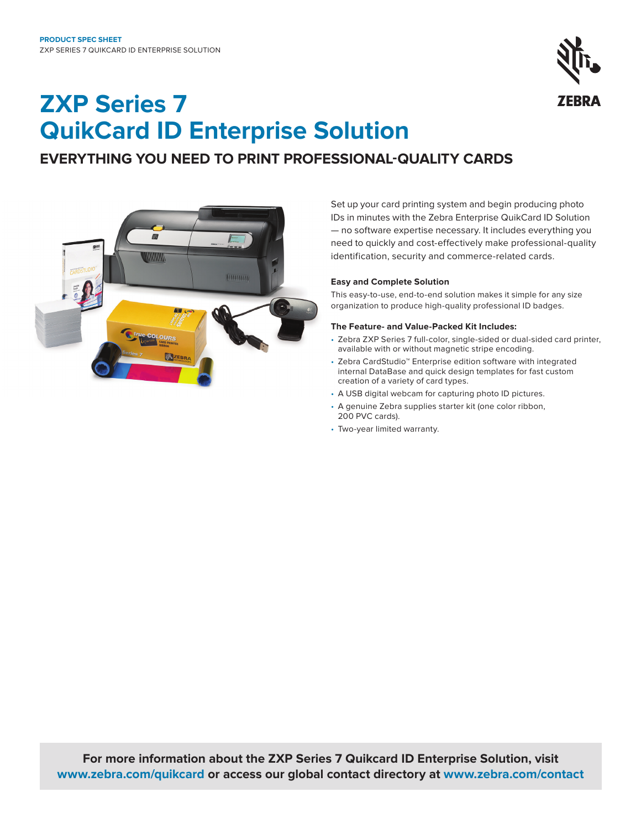

# **ZXP Series 7 QuikCard ID Enterprise Solution**

# **EVERYTHING YOU NEED TO PRINT PROFESSIONAL-QUALITY CARDS**



Set up your card printing system and begin producing photo IDs in minutes with the Zebra Enterprise QuikCard ID Solution — no software expertise necessary. It includes everything you need to quickly and cost-effectively make professional-quality identification, security and commerce-related cards.

# **Easy and Complete Solution**

This easy-to-use, end-to-end solution makes it simple for any size organization to produce high-quality professional ID badges.

# **The Feature- and Value-Packed Kit Includes:**

- Zebra ZXP Series 7 full-color, single-sided or dual-sided card printer, available with or without magnetic stripe encoding.
- Zebra CardStudio™ Enterprise edition software with integrated internal DataBase and quick design templates for fast custom creation of a variety of card types.
- A USB digital webcam for capturing photo ID pictures.
- A genuine Zebra supplies starter kit (one color ribbon, 200 PVC cards).
- Two-year limited warranty.